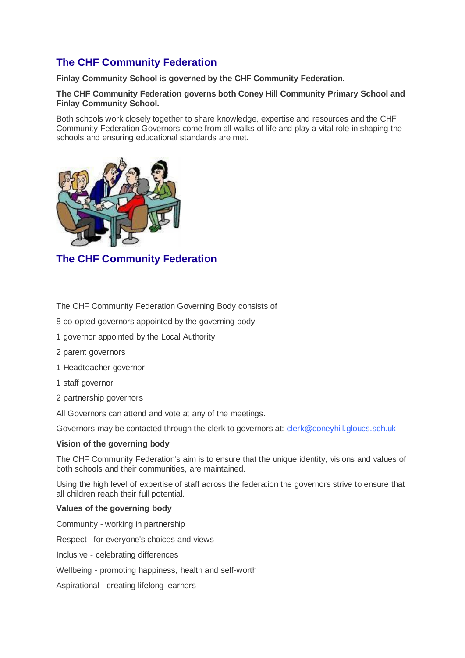# **The CHF Community Federation**

**Finlay Community School is governed by the CHF Community Federation.**

## **The CHF Community Federation governs both Coney Hill Community Primary School and Finlay Community School.**

Both schools work closely together to share knowledge, expertise and resources and the CHF Community Federation Governors come from all walks of life and play a vital role in shaping the schools and ensuring educational standards are met.



**The CHF Community Federation**

The CHF Community Federation Governing Body consists of

8 co-opted governors appointed by the governing body

- 1 governor appointed by the Local Authority
- 2 parent governors
- 1 Headteacher governor
- 1 staff governor
- 2 partnership governors

All Governors can attend and vote at any of the meetings.

Governors may be contacted through the clerk to governors at: [clerk@coneyhill.gloucs.sch.uk](mailto:clerk@coneyhill.gloucs.sch.uk)

#### **Vision of the governing body**

The CHF Community Federation's aim is to ensure that the unique identity, visions and values of both schools and their communities, are maintained.

Using the high level of expertise of staff across the federation the governors strive to ensure that all children reach their full potential.

#### **Values of the governing body**

Community - working in partnership

Respect - for everyone's choices and views

Inclusive - celebrating differences

- Wellbeing promoting happiness, health and self-worth
- Aspirational creating lifelong learners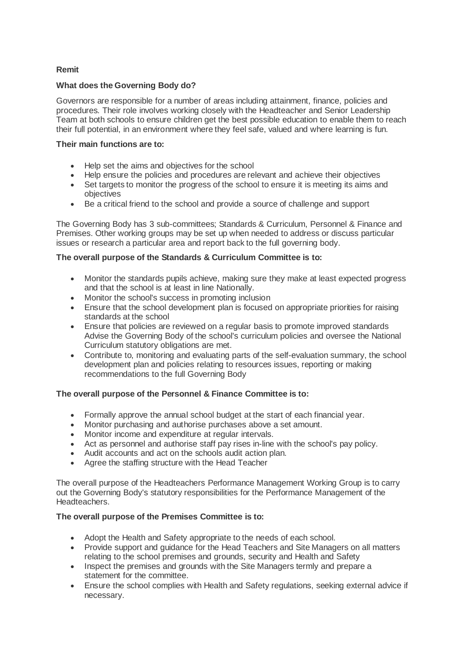# **Remit**

## **What does the Governing Body do?**

Governors are responsible for a number of areas including attainment, finance, policies and procedures. Their role involves working closely with the Headteacher and Senior Leadership Team at both schools to ensure children get the best possible education to enable them to reach their full potential, in an environment where they feel safe, valued and where learning is fun.

### **Their main functions are to:**

- Help set the aims and objectives for the school
- Help ensure the policies and procedures are relevant and achieve their objectives
- Set targets to monitor the progress of the school to ensure it is meeting its aims and objectives
- Be a critical friend to the school and provide a source of challenge and support

The Governing Body has 3 sub-committees; Standards & Curriculum, Personnel & Finance and Premises. Other working groups may be set up when needed to address or discuss particular issues or research a particular area and report back to the full governing body.

## **The overall purpose of the Standards & Curriculum Committee is to:**

- Monitor the standards pupils achieve, making sure they make at least expected progress and that the school is at least in line Nationally.
- Monitor the school's success in promoting inclusion
- Ensure that the school development plan is focused on appropriate priorities for raising standards at the school
- Ensure that policies are reviewed on a regular basis to promote improved standards Advise the Governing Body of the school's curriculum policies and oversee the National Curriculum statutory obligations are met.
- Contribute to, monitoring and evaluating parts of the self-evaluation summary, the school development plan and policies relating to resources issues, reporting or making recommendations to the full Governing Body

# **The overall purpose of the Personnel & Finance Committee is to:**

- Formally approve the annual school budget at the start of each financial year.
- Monitor purchasing and authorise purchases above a set amount.
- Monitor income and expenditure at regular intervals.
- Act as personnel and authorise staff pay rises in-line with the school's pay policy.
- Audit accounts and act on the schools audit action plan.
- Agree the staffing structure with the Head Teacher

The overall purpose of the Headteachers Performance Management Working Group is to carry out the Governing Body's statutory responsibilities for the Performance Management of the Headteachers.

#### **The overall purpose of the Premises Committee is to:**

- Adopt the Health and Safety appropriate to the needs of each school.
- Provide support and guidance for the Head Teachers and Site Managers on all matters relating to the school premises and grounds, security and Health and Safety
- Inspect the premises and grounds with the Site Managers termly and prepare a statement for the committee.
- Ensure the school complies with Health and Safety regulations, seeking external advice if necessary.